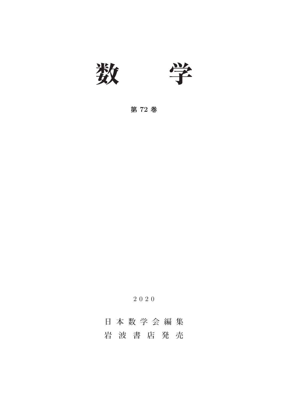

**第 72 巻**

2020

# **日本数学会編集 岩波書店発売**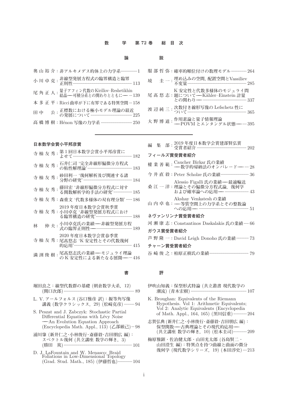### **数 学 第 72 巻 総 目 次**

## **論 説**

| 奥山裕介: 非アルキメデス的体上の力学系……………1                                                   |  |
|------------------------------------------------------------------------------|--|
|                                                                              |  |
| 尾 角 正 人 : 量子アフィン代数のKirillov-Reshetikhin<br>尾 角 正 人 : 結晶——可積分系との関わりとともに——…139 |  |
| 本 多 正 平: Ricci曲率が下に有界である特異空間…158                                             |  |
| 公: 正標数における極小モデル理論の最近<br>公: の発展について ……………………………………… 225<br>田中                 |  |
| 高橋博樹: Hénon 写像の力学系 ………………………… 250                                            |  |

|   |  |  | 服 部 哲 弥: 確率的順位付けの数理モデル …………… 264                                                        |
|---|--|--|-----------------------------------------------------------------------------------------|
| 境 |  |  |                                                                                         |
|   |  |  | K 安定性と代数多様体のモジュライ問<br>尾 髙 悠 志:題について––Kähler–Einstein 計量<br>との関わり –– ……………………………………… 337 |
|   |  |  | 渡辺純三:次数付き線形写像の Lefschetz 性に<br>365                                                      |
|   |  |  | 大 野 博 道:作用素論と量子情報理論<br>大 野 博 道:——POVM とエンタングル状態——…395                                   |

## **日本数学会賞小平邦彦賞**

|   | 寺 杣 友 秀:  |  | 第1回日本数学会賞小平邦彦賞に<br>上廿て…………………………………………… 182                                     |
|---|-----------|--|---------------------------------------------------------------------------------|
|   | 寺杣友秀:     |  | 石井仁司 '完全非線形偏微分方程式<br>の粘性解理論'…………………………………… 183                                  |
|   | 寺杣友秀:     |  | 砂田利一 '幾何解析及び関連する諸<br>分野の研究 ……………………………………… 184                                  |
|   | 寺杣友秀:     |  | 藤田宏 '非線形偏微分方程式に対す<br>る関数解析学的手法の研究'……………… 185                                    |
|   | 寺 杣 友 秀 : |  | 森重文 '代数多様体の双有理分類'……186                                                          |
|   |           |  | 2019 年度日本数学会賞秋季賞<br>寺 杣 友 秀:小川卓克 '非線型発展方程式におけ                                   |
| 林 |           |  | 仲 夫 : 小川卓克氏の業績 – 非線型発展方程<br>式の臨界正則性——…………………………… 189                            |
|   |           |  | 2020 年度日本数学会賞春季賞<br>寺 杣 友 秀 : 尾髙悠志 'K 安定性とその代数幾何<br>的応用'………………………………………………… 415 |

|  |  |  | 満 渕 俊 樹:尾髙悠志比の業績──モジュライ埋論<br> 満 渕 俊 樹:の K 安定性による新たなる展開──…416 |  |  |
|--|--|--|--------------------------------------------------------------|--|--|
|  |  |  |                                                              |  |  |

- **堀田良之:線型代数群の基礎** (**朝倉数学大系,**12) (**関口次郎**).................................................................... 89
- L. V. **アールフォルス** (**谷口雅彦 訳**)**:擬等角写像 講義** (**数学クラシックス,**29) (**松崎克彦**).......... 94
- S. Peszat and J. Zabczyk: Stochastic Partial Differential Equations with Lévy Noise **---**An Evolution Equation Approach (Encyclopedia Math. Appl., 113) (**乙部厳己**)... 98
- **浦川肇** (**新井仁之・小林俊行・斎藤毅・吉田朋広 編**)**: スペクトル幾何** (**共立講座 数学の輝き,**3) (**勝田 篤**).................................................................. 101
- D. J. LaFountain and W. Menasco: Braid Foliations in Low-Dimensional Topology (Grad. Stud. Math., 185) (**伊藤哲也**)..............104

| 集<br>編                                                                                  |
|-----------------------------------------------------------------------------------------|
| フィールズ賞受賞者紹介                                                                             |
| 權 業 善 範 : <sup>Caucher</sup> Birkar 氏の業績<br><del>- - 数</del> 学的帰納法のオンパレード——… 28         |
| 今 井 直 毅:Peter Scholze 氏の業績……………………… 36                                                  |
| Alessio Figalli 氏の業績––最適輸送<br>桑 江 一 洋:理論とその偏微分方程式論, 幾何学<br>および確率論への応用––––––––––––––––43 |
| Akshay Venkatesh の業績<br>山内 卓 也: - 等質空間上の力学系とその整数論<br>への応用—— ………………………………………… 51         |
| ネヴァンリンナ嘗受嘗者紹介                                                                           |
| 河 瀬 康 志:Constantinos Daskalakis 氏の業績…… 66                                               |
| ガウス賞受賞者紹介                                                                               |
| 芦 野 隆 一:David Leigh Donoho 氏の業績 ………… 73                                                 |

### **チャーン賞受賞者紹介**

**谷崎俊之:柏原正樹氏の業績**...................................... 79

# **書 評**

- **伊吹山知義:保型形式特論** (**共立叢書 現代数学の 潮流**) (**青木宏樹**)...................................................... 107
- K. Broughan: Equivalents of the Riemann Hypothesis. Vol 1: Arithmetic Equivalents; Vol 2: Analytic Equivalents (Encyclopedia of Math. Appl., 164, 165) (**黒川信重**).............204
- **志賀弘典** (**新井仁之・小林俊行・斎藤毅・吉田朋広 編**)**:** 保型関数 - 古典理論とその現代的応用 -(**共立講座 数学の輝き,**10) (**松本圭司**).............209
- **梅原雅顕・佐治健太郎・山田光太郎** (**谷島賢二・ 山田澄生 編**)**:特異点を持つ曲線と曲面の微分 幾何学** (**現代数学シリーズ,**19) (**本田淳史**)....213